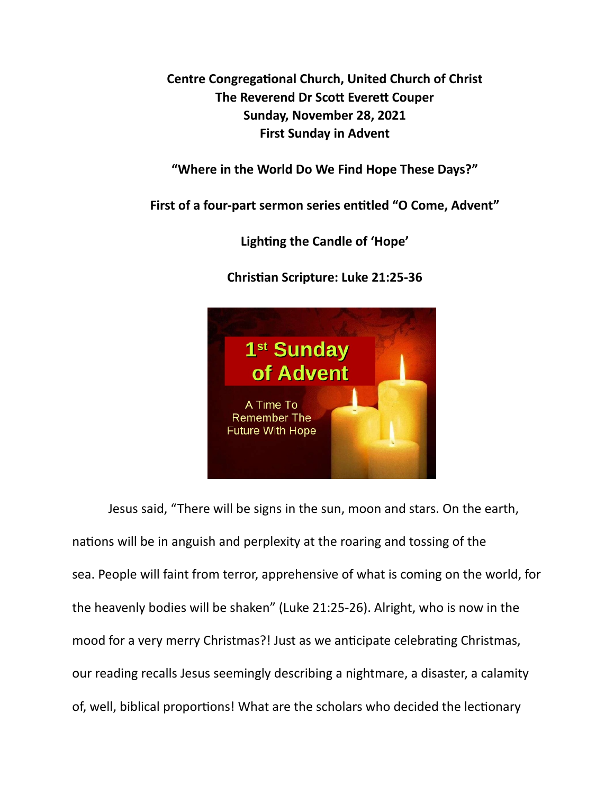**Centre Congregational Church, United Church of Christ The Reverend Dr Scott Everett Couper Sunday, November 28, 2021 First Sunday in Advent** 

**"Where in the World Do We Find Hope These Days?"** 

First of a four-part sermon series entitled "O Come, Advent"

Lighting the Candle of 'Hope'

**Chris\*an Scripture: Luke 21:25-36** 



Jesus said, "There will be signs in the sun, moon and stars. On the earth, nations will be in anguish and perplexity at the roaring and tossing of the sea. People will faint from terror, apprehensive of what is coming on the world, for the heavenly bodies will be shaken" (Luke 21:25-26). Alright, who is now in the mood for a very merry Christmas?! Just as we anticipate celebrating Christmas, our reading recalls Jesus seemingly describing a nightmare, a disaster, a calamity of, well, biblical proportions! What are the scholars who decided the lectionary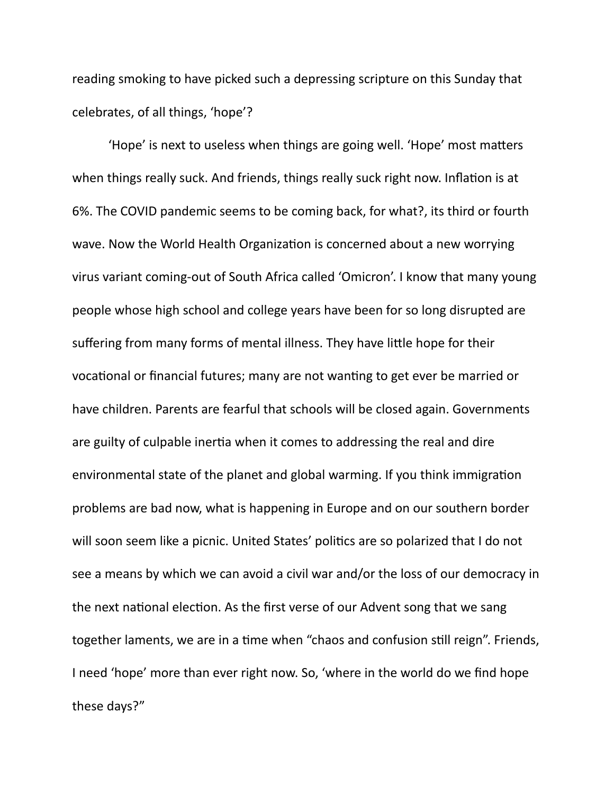reading smoking to have picked such a depressing scripture on this Sunday that celebrates, of all things, 'hope'?

'Hope' is next to useless when things are going well. 'Hope' most matters when things really suck. And friends, things really suck right now. Inflation is at 6%. The COVID pandemic seems to be coming back, for what?, its third or fourth wave. Now the World Health Organization is concerned about a new worrying virus variant coming-out of South Africa called 'Omicron'. I know that many young people whose high school and college years have been for so long disrupted are suffering from many forms of mental illness. They have little hope for their vocational or financial futures; many are not wanting to get ever be married or have children. Parents are fearful that schools will be closed again. Governments are guilty of culpable inertia when it comes to addressing the real and dire environmental state of the planet and global warming. If you think immigration problems are bad now, what is happening in Europe and on our southern border will soon seem like a picnic. United States' politics are so polarized that I do not see a means by which we can avoid a civil war and/or the loss of our democracy in the next national election. As the first verse of our Advent song that we sang together laments, we are in a time when "chaos and confusion still reign". Friends, I need 'hope' more than ever right now. So, 'where in the world do we find hope these days?"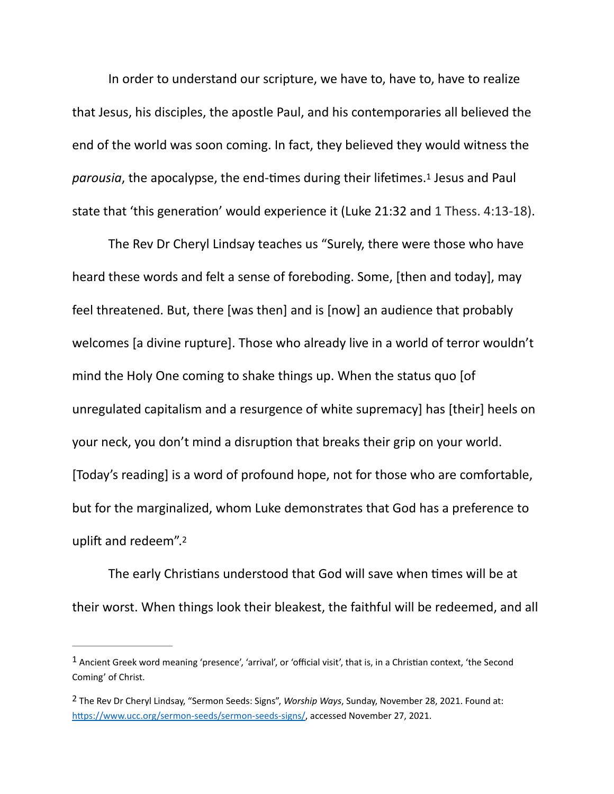In order to understand our scripture, we have to, have to, have to realize that Jesus, his disciples, the apostle Paul, and his contemporaries all believed the end of the world was soon coming. In fact, they believed they would witness the *parousia*, the apocalypse, the end-times during their lifetimes[.](#page-2-0)<sup>[1](#page-2-0)</sup> Jesus and Paul state that 'this generation' would experience it (Luke 21:32 and 1 Thess. 4:13-18).

<span id="page-2-2"></span>The Rev Dr Cheryl Lindsay teaches us "Surely, there were those who have heard these words and felt a sense of foreboding. Some, [then and today], may feel threatened. But, there [was then] and is [now] an audience that probably welcomes [a divine rupture]. Those who already live in a world of terror wouldn't mind the Holy One coming to shake things up. When the status quo [of unregulated capitalism and a resurgence of white supremacy] has [their] heels on your neck, you don't mind a disruption that breaks their grip on your world. [Today's reading] is a word of profound hope, not for those who are comfortable, but for the marginalized, whom Luke demonstrates that God has a preference to uplift and redeem".<sup>[2](#page-2-1)</sup>

<span id="page-2-3"></span>The early Christians understood that God will save when times will be at their worst. When things look their bleakest, the faithful will be redeemed, and all

<span id="page-2-0"></span> $1$ Ancient Greek word meaning 'presence', 'arrival', or 'official visit', that is, in a Christian context, 'the Second Coming' of Christ.

<span id="page-2-1"></span>The Rev Dr Cheryl Lindsay, "Sermon Seeds: Signs", *Worship Ways*, Sunday, November 28, 2021. Found at: [2](#page-2-3) https://www.ucc.org/sermon-seeds/sermon-seeds-signs/, accessed November 27, 2021.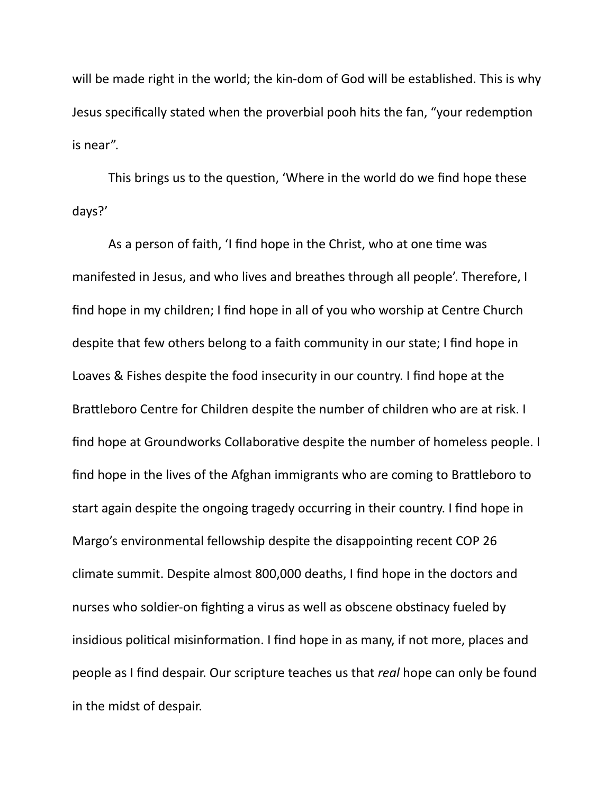will be made right in the world; the kin-dom of God will be established. This is why Jesus specifically stated when the proverbial pooh hits the fan, "your redemption is near".

This brings us to the question, 'Where in the world do we find hope these days?'

As a person of faith, 'I find hope in the Christ, who at one time was manifested in Jesus, and who lives and breathes through all people'. Therefore, I find hope in my children; I find hope in all of you who worship at Centre Church despite that few others belong to a faith community in our state; I find hope in Loaves & Fishes despite the food insecurity in our country. I find hope at the Brattleboro Centre for Children despite the number of children who are at risk. I find hope at Groundworks Collaborative despite the number of homeless people. I find hope in the lives of the Afghan immigrants who are coming to Brattleboro to start again despite the ongoing tragedy occurring in their country. I find hope in Margo's environmental fellowship despite the disappointing recent COP 26 climate summit. Despite almost 800,000 deaths, I find hope in the doctors and nurses who soldier-on fighting a virus as well as obscene obstinacy fueled by insidious political misinformation. I find hope in as many, if not more, places and people as I find despair. Our scripture teaches us that *real* hope can only be found in the midst of despair.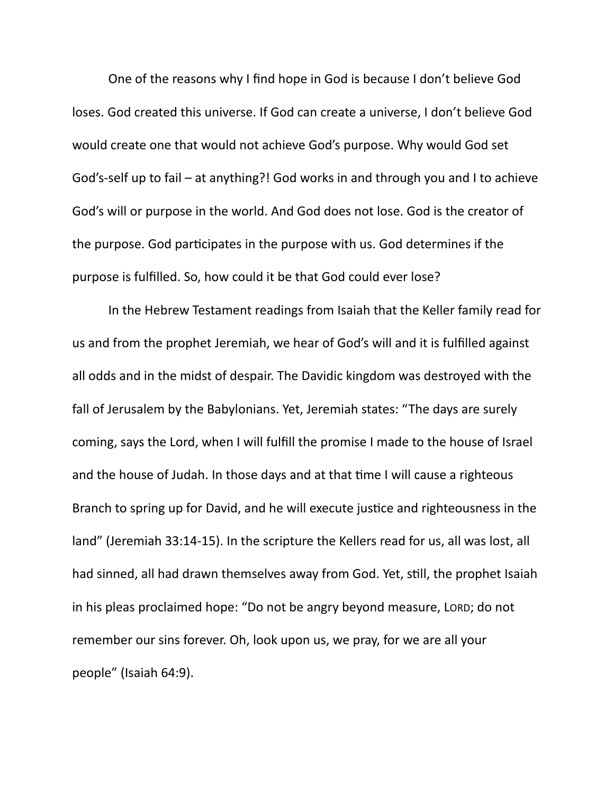One of the reasons why I find hope in God is because I don't believe God loses. God created this universe. If God can create a universe, I don't believe God would create one that would not achieve God's purpose. Why would God set God's-self up to fail – at anything?! God works in and through you and I to achieve God's will or purpose in the world. And God does not lose. God is the creator of the purpose. God participates in the purpose with us. God determines if the purpose is fulfilled. So, how could it be that God could ever lose?

In the Hebrew Testament readings from Isaiah that the Keller family read for us and from the prophet Jeremiah, we hear of God's will and it is fulfilled against all odds and in the midst of despair. The Davidic kingdom was destroyed with the fall of Jerusalem by the Babylonians. Yet, Jeremiah states: "The days are surely coming, says the Lord, when I will fulfill the promise I made to the house of Israel and the house of Judah. In those days and at that time I will cause a righteous Branch to spring up for David, and he will execute justice and righteousness in the land" (Jeremiah 33:14-15). In the scripture the Kellers read for us, all was lost, all had sinned, all had drawn themselves away from God. Yet, still, the prophet Isaiah in his pleas proclaimed hope: "Do not be angry beyond measure, LORD; do not remember our sins forever. Oh, look upon us, we pray, for we are all your people" (Isaiah 64:9).